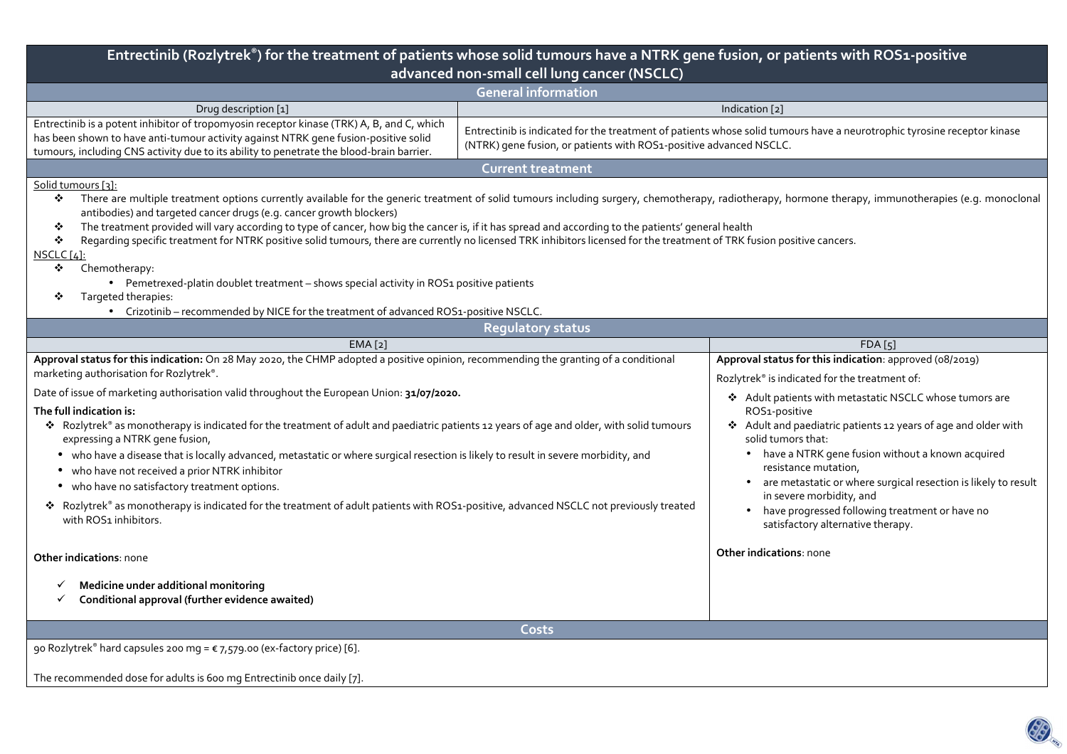| Entrectinib (Rozlytrek®) for the treatment of patients whose solid tumours have a NTRK gene fusion, or patients with ROS1-positive<br>advanced non-small cell lung cancer (NSCLC)                                                                                                                                                                                                                                                                                                                                                                                                                                                                                                                                                                                                                                                                                                                    |                                                                                                                                                                                                                                                                            |  |  |  |  |  |  |  |
|------------------------------------------------------------------------------------------------------------------------------------------------------------------------------------------------------------------------------------------------------------------------------------------------------------------------------------------------------------------------------------------------------------------------------------------------------------------------------------------------------------------------------------------------------------------------------------------------------------------------------------------------------------------------------------------------------------------------------------------------------------------------------------------------------------------------------------------------------------------------------------------------------|----------------------------------------------------------------------------------------------------------------------------------------------------------------------------------------------------------------------------------------------------------------------------|--|--|--|--|--|--|--|
| <b>General information</b>                                                                                                                                                                                                                                                                                                                                                                                                                                                                                                                                                                                                                                                                                                                                                                                                                                                                           |                                                                                                                                                                                                                                                                            |  |  |  |  |  |  |  |
| Indication [2]<br>Drug description [1]                                                                                                                                                                                                                                                                                                                                                                                                                                                                                                                                                                                                                                                                                                                                                                                                                                                               |                                                                                                                                                                                                                                                                            |  |  |  |  |  |  |  |
| Entrectinib is a potent inhibitor of tropomyosin receptor kinase (TRK) A, B, and C, which<br>has been shown to have anti-tumour activity against NTRK gene fusion-positive solid<br>tumours, including CNS activity due to its ability to penetrate the blood-brain barrier.                                                                                                                                                                                                                                                                                                                                                                                                                                                                                                                                                                                                                         | Entrectinib is indicated for the treatment of patients whose solid tumours have a neurotrophic tyrosine receptor kinase<br>(NTRK) gene fusion, or patients with ROS1-positive advanced NSCLC.                                                                              |  |  |  |  |  |  |  |
| <b>Current treatment</b>                                                                                                                                                                                                                                                                                                                                                                                                                                                                                                                                                                                                                                                                                                                                                                                                                                                                             |                                                                                                                                                                                                                                                                            |  |  |  |  |  |  |  |
| Solid tumours [3]:<br>There are multiple treatment options currently available for the generic treatment of solid tumours including surgery, chemotherapy, radiotherapy, hormone therapy, immunotherapies (e.g. monoclonal<br>❖<br>antibodies) and targeted cancer drugs (e.g. cancer growth blockers)<br>The treatment provided will vary according to type of cancer, how big the cancer is, if it has spread and according to the patients' general health<br>❖<br>Regarding specific treatment for NTRK positive solid tumours, there are currently no licensed TRK inhibitors licensed for the treatment of TRK fusion positive cancers.<br>❖<br>$NSCLC[4]$ :<br>Chemotherapy:<br>❖<br>• Pemetrexed-platin doublet treatment - shows special activity in ROS1 positive patients<br>Targeted therapies:<br>• Crizotinib – recommended by NICE for the treatment of advanced ROS1-positive NSCLC. |                                                                                                                                                                                                                                                                            |  |  |  |  |  |  |  |
| <b>Requlatory status</b>                                                                                                                                                                                                                                                                                                                                                                                                                                                                                                                                                                                                                                                                                                                                                                                                                                                                             |                                                                                                                                                                                                                                                                            |  |  |  |  |  |  |  |
| EMA <sub>[2]</sub>                                                                                                                                                                                                                                                                                                                                                                                                                                                                                                                                                                                                                                                                                                                                                                                                                                                                                   | FDA [5]                                                                                                                                                                                                                                                                    |  |  |  |  |  |  |  |
| Approval status for this indication: On 28 May 2020, the CHMP adopted a positive opinion, recommending the granting of a conditional<br>marketing authorisation for Rozlytrek®.<br>Date of issue of marketing authorisation valid throughout the European Union: 31/07/2020.<br>The full indication is:<br>* Rozlytrek® as monotherapy is indicated for the treatment of adult and paediatric patients 12 years of age and older, with solid tumours<br>expressing a NTRK gene fusion,                                                                                                                                                                                                                                                                                                                                                                                                               | Approval status for this indication: approved (08/2019)<br>Rozlytrek® is indicated for the treatment of:<br>❖ Adult patients with metastatic NSCLC whose tumors are<br>ROS1-positive<br>Adult and paediatric patients 12 years of age and older with<br>solid tumors that: |  |  |  |  |  |  |  |
| • who have a disease that is locally advanced, metastatic or where surgical resection is likely to result in severe morbidity, and<br>• who have not received a prior NTRK inhibitor<br>• who have no satisfactory treatment options.<br>* Rozlytrek® as monotherapy is indicated for the treatment of adult patients with ROS1-positive, advanced NSCLC not previously treated<br>with ROS1 inhibitors.                                                                                                                                                                                                                                                                                                                                                                                                                                                                                             | • have a NTRK gene fusion without a known acquired<br>resistance mutation,<br>are metastatic or where surgical resection is likely to result<br>in severe morbidity, and<br>• have progressed following treatment or have no<br>satisfactory alternative therapy.          |  |  |  |  |  |  |  |
| <b>Other indications: none</b>                                                                                                                                                                                                                                                                                                                                                                                                                                                                                                                                                                                                                                                                                                                                                                                                                                                                       | Other indications: none                                                                                                                                                                                                                                                    |  |  |  |  |  |  |  |
| Medicine under additional monitoring<br>Conditional approval (further evidence awaited)                                                                                                                                                                                                                                                                                                                                                                                                                                                                                                                                                                                                                                                                                                                                                                                                              |                                                                                                                                                                                                                                                                            |  |  |  |  |  |  |  |
| Costs                                                                                                                                                                                                                                                                                                                                                                                                                                                                                                                                                                                                                                                                                                                                                                                                                                                                                                |                                                                                                                                                                                                                                                                            |  |  |  |  |  |  |  |
| 90 Rozlytrek® hard capsules 200 mg = € 7,579.00 (ex-factory price) [6].                                                                                                                                                                                                                                                                                                                                                                                                                                                                                                                                                                                                                                                                                                                                                                                                                              |                                                                                                                                                                                                                                                                            |  |  |  |  |  |  |  |
| The recommended dose for adults is 600 mg Entrectinib once daily [7].                                                                                                                                                                                                                                                                                                                                                                                                                                                                                                                                                                                                                                                                                                                                                                                                                                |                                                                                                                                                                                                                                                                            |  |  |  |  |  |  |  |

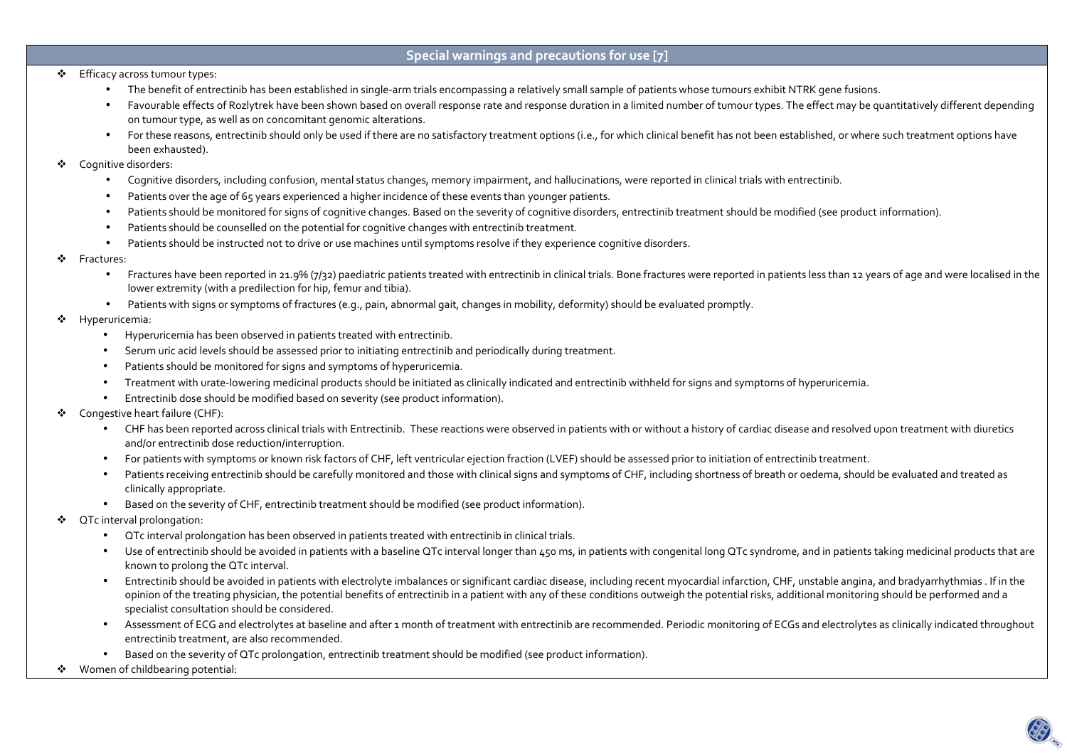## **Special warnings and precautions for use [7]**

- ❖ Efficacy across tumour types:<br>The finite finite set of the finite set of the finite set of the finite set of the set of the set of the set o
	- The benefit of entrectinib has been established in single-arm trials encompassing a relatively small sample of patients whose tumours exhibit NTRK gene fusions.
	- Favourable effects of Rozlytrek have been shown based on overall response rate and response duration in a limited number of tumour types. The effect may be quantitatively different depending on tumour type, as well as on concomitant genomic alterations.
	- For these reasons, entrectinib should only be used if there are no satisfactory treatment options (i.e., for which clinical benefit has not been established, or where such treatment options have been exhausted).
- ❖ Cognitive disorders:
	- Cognitive disorders, including confusion, mental status changes, memory impairment, and hallucinations, were reported in clinical trials with entrectinib.
	- •Patients over the age of 65 years experienced a higher incidence of these events than younger patients.
	- •Patients should be monitored for signs of cognitive changes. Based on the severity of cognitive disorders, entrectinib treatment should be modified (see product information).
	- $\bullet$ Patients should be counselled on the potential for cognitive changes with entrectinib treatment.
	- •Patients should be instructed not to drive or use machines until symptoms resolve if they experience cognitive disorders.
- $\mathcal{L}_{\mathcal{C}}$  Fractures:
	- $\bullet$  Fractures have been reported in 21.9% (7/32) paediatric patients treated with entrectinib in clinical trials. Bone fractures were reported in patients less than 12 years of age and were localised in the lower extremity (with a predilection for hip, femur and tibia).
	- Patients with signs or symptoms of fractures (e.g., pain, abnormal gait, changes in mobility, deformity) should be evaluated promptly.
- ❖ Hyperuricemia:
	- •Hyperuricemia has been observed in patients treated with entrectinib.
	- •Serum uric acid levels should be assessed prior to initiating entrectinib and periodically during treatment.
	- •Patients should be monitored for signs and symptoms of hyperuricemia.
	- •Treatment with urate-lowering medicinal products should be initiated as clinically indicated and entrectinib withheld for signs and symptoms of hyperuricemia.
	- •Entrectinib dose should be modified based on severity (see product information).
- ❖ Congestive heart failure (CHF):
	- •CHF has been reported across clinical trials with Entrectinib. These reactions were observed in patients with or without a history of cardiac disease and resolved upon treatment with diuretics and/or entrectinib dose reduction/interruption.
	- •For patients with symptoms or known risk factors of CHF, left ventricular ejection fraction (LVEF) should be assessed prior to initiation of entrectinib treatment.
	- •Patients receiving entrectinib should be carefully monitored and those with clinical signs and symptoms of CHF, including shortness of breath or oedema, should be evaluated and treated as clinically appropriate.
	- •Based on the severity of CHF, entrectinib treatment should be modified (see product information).
- ❖ QTc interval prolongation:
	- QTc interval prolongation has been observed in patients treated with entrectinib in clinical trials.
	- $\bullet$  Use of entrectinib should be avoided in patients with a baseline QTc interval longer than 450 ms, in patients with congenital long QTc syndrome, and in patients taking medicinal products that are known to prolong the QTc interval.
	- • Entrectinib should be avoided in patients with electrolyte imbalances or significant cardiac disease, including recent myocardial infarction, CHF, unstable angina, and bradyarrhythmias . If in the opinion of the treating physician, the potential benefits of entrectinib in a patient with any of these conditions outweigh the potential risks, additional monitoring should be performed and a specialist consultation should be considered.
	- • Assessment of ECG and electrolytes at baseline and after 1 month of treatment with entrectinib are recommended. Periodic monitoring of ECGs and electrolytes as clinically indicated throughout entrectinib treatment, are also recommended.
	- •Based on the severity of QTc prolongation, entrectinib treatment should be modified (see product information).
- ❖ Women of childbearing potential:

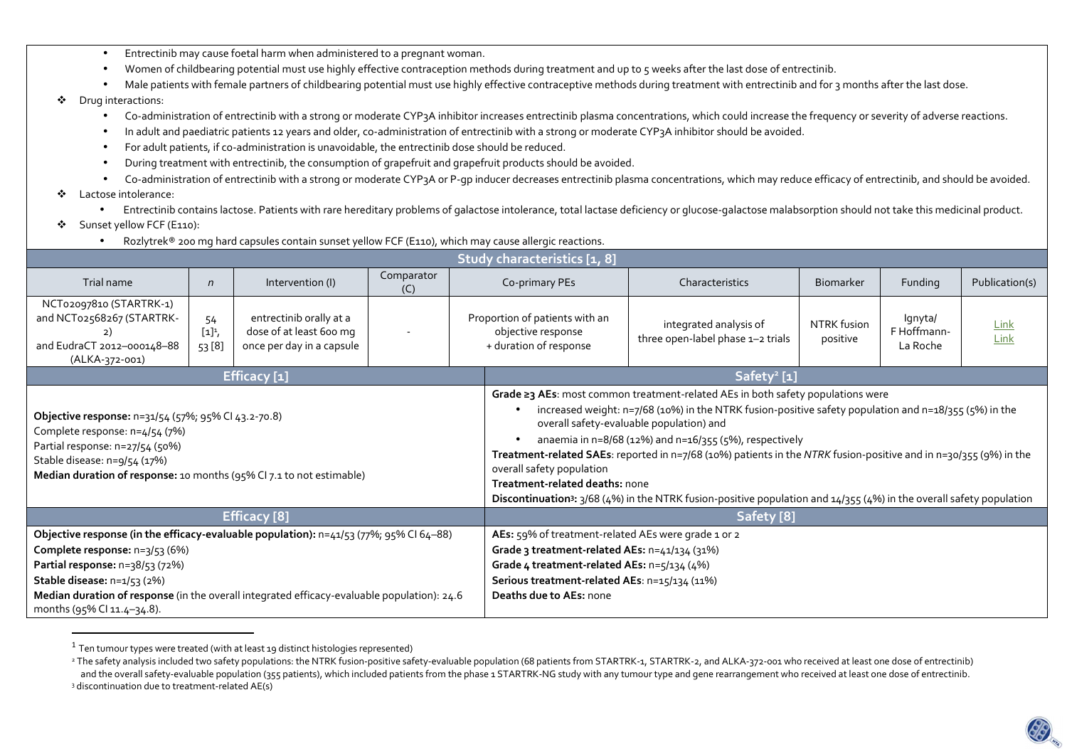- •Entrectinib may cause foetal harm when administered to a pregnant woman.
- •Women of childbearing potential must use highly effective contraception methods during treatment and up to 5 weeks after the last dose of entrectinib.
- •Male patients with female partners of childbearing potential must use highly effective contraceptive methods during treatment with entrectinib and for 3 months after the last dose.

## $\mathcal{L}_{\mathcal{C}}$ Drug interactions:

- •Co-administration of entrectinib with a strong or moderate CYP3A inhibitor increases entrectinib plasma concentrations, which could increase the frequency or severity of adverse reactions.
- •In adult and paediatric patients 12 years and older, co-administration of entrectinib with a strong or moderate CYP3A inhibitor should be avoided.
- •For adult patients, if co-administration is unavoidable, the entrectinib dose should be reduced.
- •During treatment with entrectinib, the consumption of grapefruit and grapefruit products should be avoided.
- •Co-administration of entrectinib with a strong or moderate CYP3A or P-gp inducer decreases entrectinib plasma concentrations, which may reduce efficacy of entrectinib, and should be avoided.
- $\bullet$  Lactose intolerance:
	- •Entrectinib contains lactose. Patients with rare hereditary problems of galactose intolerance, total lactase deficiency or glucose-galactose malabsorption should not take this medicinal product.
- $\frac{1}{2}$ Sunset yellow FCF (E110):
	- •Rozlytrek® 200 mg hard capsules contain sunset yellow FCF (E110), which may cause allergic reactions.

| Study characteristics [1, 8]                                                                                                                                                                                                                                                                                            |                           |                                                                                 |                   |  |                                                                                                                                                                                                                                                                                                                                                                                                                                                                                                                                                                                                                         |                                                             |                         |                                    |                     |  |  |
|-------------------------------------------------------------------------------------------------------------------------------------------------------------------------------------------------------------------------------------------------------------------------------------------------------------------------|---------------------------|---------------------------------------------------------------------------------|-------------------|--|-------------------------------------------------------------------------------------------------------------------------------------------------------------------------------------------------------------------------------------------------------------------------------------------------------------------------------------------------------------------------------------------------------------------------------------------------------------------------------------------------------------------------------------------------------------------------------------------------------------------------|-------------------------------------------------------------|-------------------------|------------------------------------|---------------------|--|--|
| Trial name                                                                                                                                                                                                                                                                                                              | $\sqrt{n}$                | Intervention (I)                                                                | Comparator<br>(C) |  | Co-primary PEs                                                                                                                                                                                                                                                                                                                                                                                                                                                                                                                                                                                                          | Characteristics                                             | <b>Biomarker</b>        | Funding                            | Publication(s)      |  |  |
| NCT02097810 (STARTRK-1)<br>and NCT02568267 (STARTRK-<br>2)<br>and EudraCT 2012-000148-88<br>(ALKA-372-001)                                                                                                                                                                                                              | 54<br>$[1]^1$ ,<br>53 [8] | entrectinib orally at a<br>dose of at least 600 mg<br>once per day in a capsule |                   |  | Proportion of patients with an<br>objective response<br>+ duration of response                                                                                                                                                                                                                                                                                                                                                                                                                                                                                                                                          | integrated analysis of<br>three open-label phase 1-2 trials | NTRK fusion<br>positive | Ignyta/<br>F Hoffmann-<br>La Roche | <b>Link</b><br>Link |  |  |
|                                                                                                                                                                                                                                                                                                                         |                           | <b>Efficacy</b> [1]                                                             |                   |  | Safety <sup>2</sup> [1]                                                                                                                                                                                                                                                                                                                                                                                                                                                                                                                                                                                                 |                                                             |                         |                                    |                     |  |  |
| Objective response: n=31/54 (57%; 95% CI 43.2-70.8)<br>Complete response: n=4/54 (7%)<br>Partial response: n=27/54 (50%)<br>Stable disease: n=9/54 (17%)<br>Median duration of response: 10 months (95% CI 7.1 to not estimable)                                                                                        |                           |                                                                                 |                   |  | Grade ≥3 AEs: most common treatment-related AEs in both safety populations were<br>increased weight: n=7/68 (10%) in the NTRK fusion-positive safety population and n=18/355 (5%) in the<br>overall safety-evaluable population) and<br>anaemia in n=8/68 (12%) and n=16/355 (5%), respectively<br>Treatment-related SAEs: reported in n=7/68 (10%) patients in the NTRK fusion-positive and in n=30/355 (9%) in the<br>overall safety population<br>Treatment-related deaths: none<br>Discontinuation <sup>3</sup> : 3/68 (4%) in the NTRK fusion-positive population and 14/355 (4%) in the overall safety population |                                                             |                         |                                    |                     |  |  |
| <b>Efficacy</b> [8]                                                                                                                                                                                                                                                                                                     |                           |                                                                                 |                   |  | Safety [8]                                                                                                                                                                                                                                                                                                                                                                                                                                                                                                                                                                                                              |                                                             |                         |                                    |                     |  |  |
| Objective response (in the efficacy-evaluable population): n=41/53 (77%; 95% CI 64-88)<br>Complete response: n=3/53 (6%)<br>Partial response: n=38/53 (72%)<br>Stable disease: n=1/53 (2%)<br>Median duration of response (in the overall integrated efficacy-evaluable population): 24.6<br>months (95% CI 11.4-34.8). |                           |                                                                                 |                   |  | AEs: 59% of treatment-related AEs were grade 1 or 2<br>Grade 3 treatment-related AEs: n=41/134 (31%)<br>Grade 4 treatment-related AEs: n=5/134 (4%)<br>Serious treatment-related AEs: n=15/134 (11%)<br>Deaths due to AEs: none                                                                                                                                                                                                                                                                                                                                                                                         |                                                             |                         |                                    |                     |  |  |

 $^{\rm 1}$  Ten tumour types were treated (with at least 19 distinct histologies represented)

<sup>&</sup>lt;sup>2</sup> The safety analysis included two safety populations: the NTRK fusion-positive safety-evaluable population (68 patients from STARTRK-1, STARTRK-2, and ALKA-372-001 who received at least one dose of entrectinib) and the overall safety-evaluable population (355 patients), which included patients from the phase 1 STARTRK-NG study with any tumour type and gene rearrangement who received at least one dose of entrectinib. 3 discontinuation due to treatment-related AE(s)